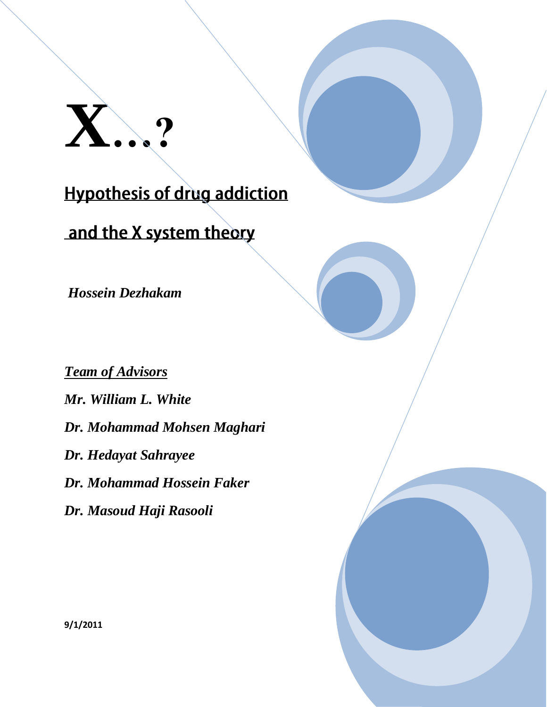

# **Hypothesis of drug addiction**

# and the X system theory

*Hossein Dezhakam*

*Team of Advisors*

*Mr. William L. White Dr. Mohammad Mohsen Maghari Dr. Hedayat Sahrayee Dr. Mohammad Hossein Faker Dr. Masoud Haji Rasooli*

**9/1/2011**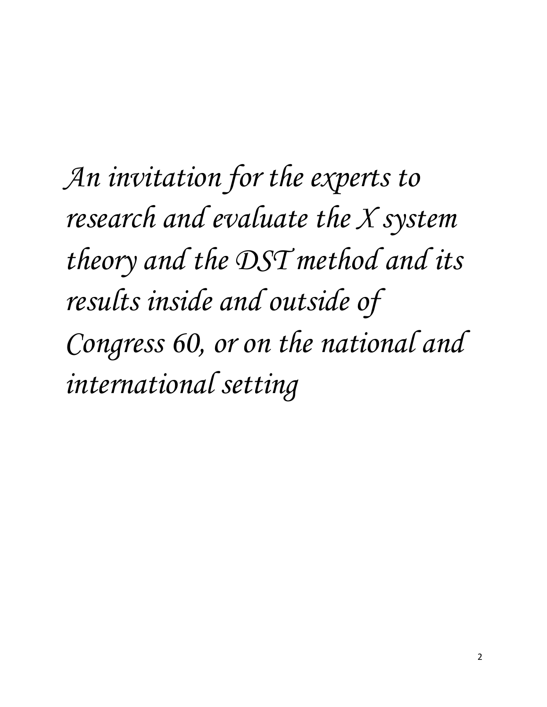*An invitation for the experts to research and evaluate the X system theory and the DST method and its results inside and outside of Congress 60, or on the national and international setting*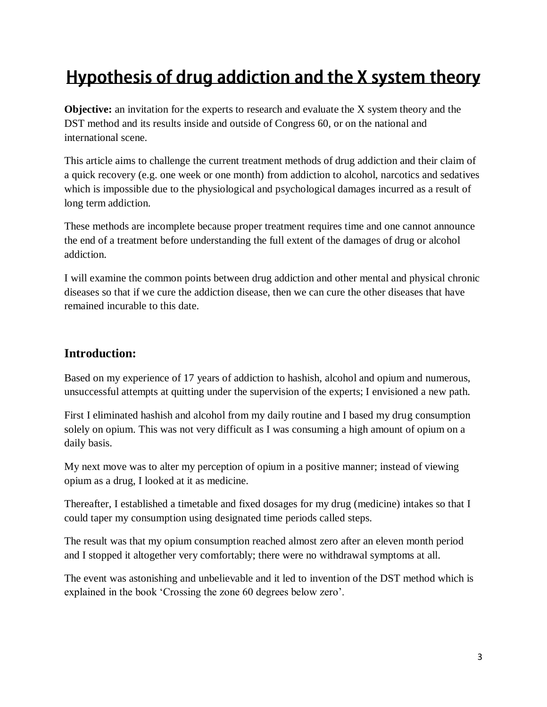# Hypothesis of drug addiction and the X system theory

**Objective:** an invitation for the experts to research and evaluate the X system theory and the DST method and its results inside and outside of Congress 60, or on the national and international scene.

This article aims to challenge the current treatment methods of drug addiction and their claim of a quick recovery (e.g. one week or one month) from addiction to alcohol, narcotics and sedatives which is impossible due to the physiological and psychological damages incurred as a result of long term addiction.

These methods are incomplete because proper treatment requires time and one cannot announce the end of a treatment before understanding the full extent of the damages of drug or alcohol addiction.

I will examine the common points between drug addiction and other mental and physical chronic diseases so that if we cure the addiction disease, then we can cure the other diseases that have remained incurable to this date.

# **Introduction:**

Based on my experience of 17 years of addiction to hashish, alcohol and opium and numerous, unsuccessful attempts at quitting under the supervision of the experts; I envisioned a new path.

First I eliminated hashish and alcohol from my daily routine and I based my drug consumption solely on opium. This was not very difficult as I was consuming a high amount of opium on a daily basis.

My next move was to alter my perception of opium in a positive manner; instead of viewing opium as a drug, I looked at it as medicine.

Thereafter, I established a timetable and fixed dosages for my drug (medicine) intakes so that I could taper my consumption using designated time periods called steps.

The result was that my opium consumption reached almost zero after an eleven month period and I stopped it altogether very comfortably; there were no withdrawal symptoms at all.

The event was astonishing and unbelievable and it led to invention of the DST method which is explained in the book 'Crossing the zone 60 degrees below zero'.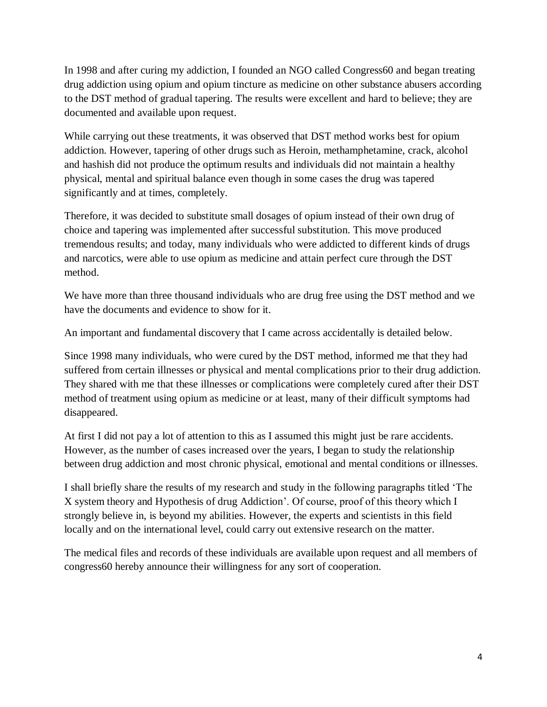In 1998 and after curing my addiction, I founded an NGO called Congress60 and began treating drug addiction using opium and opium tincture as medicine on other substance abusers according to the DST method of gradual tapering. The results were excellent and hard to believe; they are documented and available upon request.

While carrying out these treatments, it was observed that DST method works best for opium addiction. However, tapering of other drugs such as Heroin, methamphetamine, crack, alcohol and hashish did not produce the optimum results and individuals did not maintain a healthy physical, mental and spiritual balance even though in some cases the drug was tapered significantly and at times, completely.

Therefore, it was decided to substitute small dosages of opium instead of their own drug of choice and tapering was implemented after successful substitution. This move produced tremendous results; and today, many individuals who were addicted to different kinds of drugs and narcotics, were able to use opium as medicine and attain perfect cure through the DST method.

We have more than three thousand individuals who are drug free using the DST method and we have the documents and evidence to show for it.

An important and fundamental discovery that I came across accidentally is detailed below.

Since 1998 many individuals, who were cured by the DST method, informed me that they had suffered from certain illnesses or physical and mental complications prior to their drug addiction. They shared with me that these illnesses or complications were completely cured after their DST method of treatment using opium as medicine or at least, many of their difficult symptoms had disappeared.

At first I did not pay a lot of attention to this as I assumed this might just be rare accidents. However, as the number of cases increased over the years, I began to study the relationship between drug addiction and most chronic physical, emotional and mental conditions or illnesses.

I shall briefly share the results of my research and study in the following paragraphs titled 'The X system theory and Hypothesis of drug Addiction'. Of course, proof of this theory which I strongly believe in, is beyond my abilities. However, the experts and scientists in this field locally and on the international level, could carry out extensive research on the matter.

The medical files and records of these individuals are available upon request and all members of congress60 hereby announce their willingness for any sort of cooperation.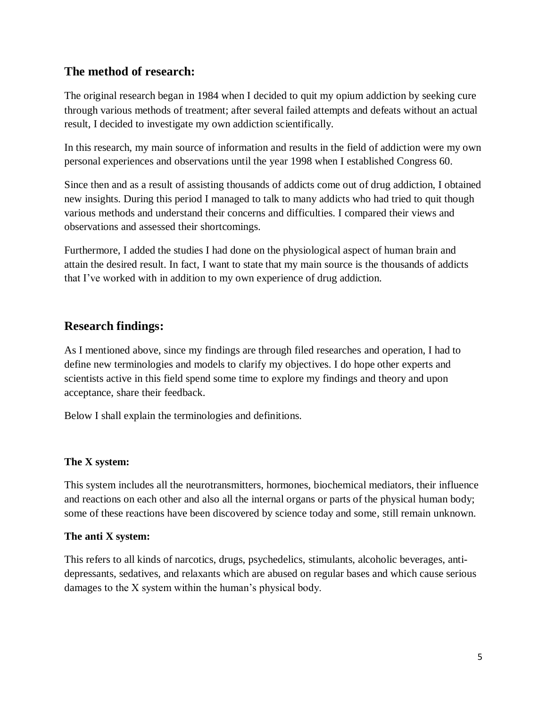# **The method of research:**

The original research began in 1984 when I decided to quit my opium addiction by seeking cure through various methods of treatment; after several failed attempts and defeats without an actual result, I decided to investigate my own addiction scientifically.

In this research, my main source of information and results in the field of addiction were my own personal experiences and observations until the year 1998 when I established Congress 60.

Since then and as a result of assisting thousands of addicts come out of drug addiction, I obtained new insights. During this period I managed to talk to many addicts who had tried to quit though various methods and understand their concerns and difficulties. I compared their views and observations and assessed their shortcomings.

Furthermore, I added the studies I had done on the physiological aspect of human brain and attain the desired result. In fact, I want to state that my main source is the thousands of addicts that I've worked with in addition to my own experience of drug addiction.

# **Research findings:**

As I mentioned above, since my findings are through filed researches and operation, I had to define new terminologies and models to clarify my objectives. I do hope other experts and scientists active in this field spend some time to explore my findings and theory and upon acceptance, share their feedback.

Below I shall explain the terminologies and definitions.

## **The X system:**

This system includes all the neurotransmitters, hormones, biochemical mediators, their influence and reactions on each other and also all the internal organs or parts of the physical human body; some of these reactions have been discovered by science today and some, still remain unknown.

## **The anti X system:**

This refers to all kinds of narcotics, drugs, psychedelics, stimulants, alcoholic beverages, antidepressants, sedatives, and relaxants which are abused on regular bases and which cause serious damages to the X system within the human's physical body.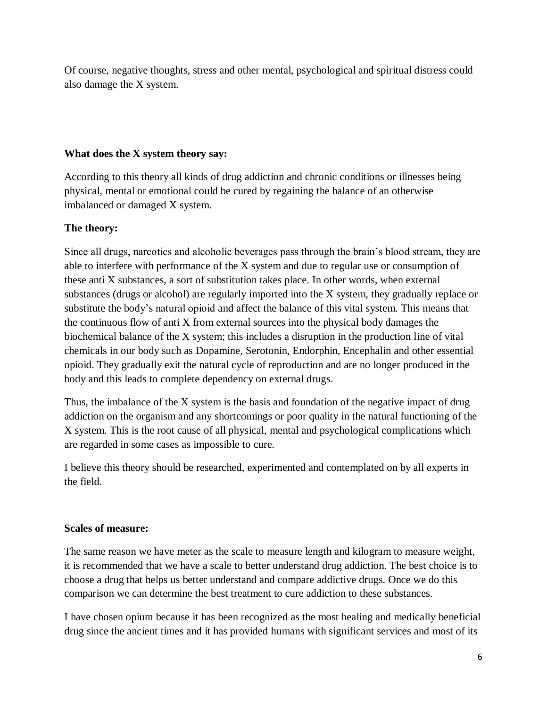Of course, negative thoughts, stress and other mental, psychological and spiritual distress could also damage the X system.

### **What does the X system theory say:**

According to this theory all kinds of drug addiction and chronic conditions or illnesses being physical, mental or emotional could be cured by regaining the balance of an otherwise imbalanced or damaged X system.

## **The theory:**

Since all drugs, narcotics and alcoholic beverages pass through the brain's blood stream, they are able to interfere with performance of the X system and due to regular use or consumption of these anti X substances, a sort of substitution takes place. In other words, when external substances (drugs or alcohol) are regularly imported into the X system, they gradually replace or substitute the body's natural opioid and affect the balance of this vital system. This means that the continuous flow of anti X from external sources into the physical body damages the biochemical balance of the X system; this includes a disruption in the production line of vital chemicals in our body such as Dopamine, Serotonin, Endorphin, Encephalin and other essential opioid. They gradually exit the natural cycle of reproduction and are no longer produced in the body and this leads to complete dependency on external drugs.

Thus, the imbalance of the X system is the basis and foundation of the negative impact of drug addiction on the organism and any shortcomings or poor quality in the natural functioning of the X system. This is the root cause of all physical, mental and psychological complications which are regarded in some cases as impossible to cure.

I believe this theory should be researched, experimented and contemplated on by all experts in the field.

#### **Scales of measure:**

The same reason we have meter as the scale to measure length and kilogram to measure weight, it is recommended that we have a scale to better understand drug addiction. The best choice is to choose a drug that helps us better understand and compare addictive drugs. Once we do this comparison we can determine the best treatment to cure addiction to these substances.

I have chosen opium because it has been recognized as the most healing and medically beneficial drug since the ancient times and it has provided humans with significant services and most of its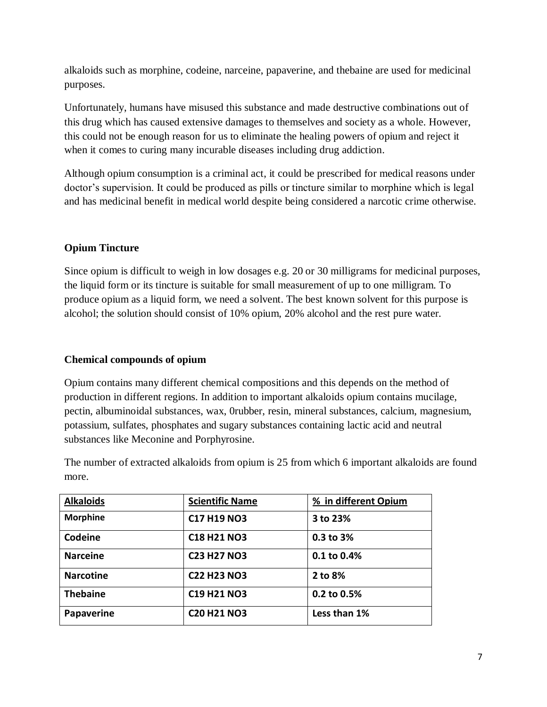alkaloids such as morphine, codeine, narceine, papaverine, and thebaine are used for medicinal purposes.

Unfortunately, humans have misused this substance and made destructive combinations out of this drug which has caused extensive damages to themselves and society as a whole. However, this could not be enough reason for us to eliminate the healing powers of opium and reject it when it comes to curing many incurable diseases including drug addiction.

Although opium consumption is a criminal act, it could be prescribed for medical reasons under doctor's supervision. It could be produced as pills or tincture similar to morphine which is legal and has medicinal benefit in medical world despite being considered a narcotic crime otherwise.

# **Opium Tincture**

Since opium is difficult to weigh in low dosages e.g. 20 or 30 milligrams for medicinal purposes, the liquid form or its tincture is suitable for small measurement of up to one milligram. To produce opium as a liquid form, we need a solvent. The best known solvent for this purpose is alcohol; the solution should consist of 10% opium, 20% alcohol and the rest pure water.

## **Chemical compounds of opium**

Opium contains many different chemical compositions and this depends on the method of production in different regions. In addition to important alkaloids opium contains mucilage, pectin, albuminoidal substances, wax, 0rubber, resin, mineral substances, calcium, magnesium, potassium, sulfates, phosphates and sugary substances containing lactic acid and neutral substances like Meconine and Porphyrosine.

The number of extracted alkaloids from opium is 25 from which 6 important alkaloids are found more.

| <b>Alkaloids</b> | <b>Scientific Name</b> | % in different Opium |
|------------------|------------------------|----------------------|
| <b>Morphine</b>  | <b>C17 H19 NO3</b>     | 3 to 23%             |
| Codeine          | <b>C18 H21 NO3</b>     | $0.3$ to $3%$        |
| <b>Narceine</b>  | <b>C23 H27 NO3</b>     | 0.1 to 0.4%          |
| <b>Narcotine</b> | <b>C22 H23 NO3</b>     | 2 to 8%              |
| <b>Thebaine</b>  | <b>C19 H21 NO3</b>     | 0.2 to 0.5%          |
| Papaverine       | <b>C20 H21 NO3</b>     | Less than 1%         |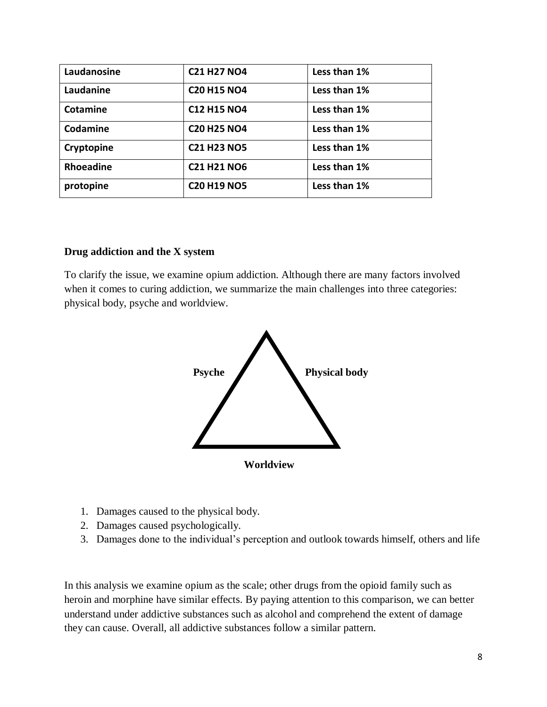| Laudanosine | <b>C21 H27 NO4</b> | Less than 1% |
|-------------|--------------------|--------------|
| Laudanine   | <b>C20 H15 NO4</b> | Less than 1% |
| Cotamine    | <b>C12 H15 NO4</b> | Less than 1% |
| Codamine    | <b>C20 H25 NO4</b> | Less than 1% |
| Cryptopine  | <b>C21 H23 NO5</b> | Less than 1% |
| Rhoeadine   | <b>C21 H21 NO6</b> | Less than 1% |
| protopine   | <b>C20 H19 NO5</b> | Less than 1% |

#### **Drug addiction and the X system**

To clarify the issue, we examine opium addiction. Although there are many factors involved when it comes to curing addiction, we summarize the main challenges into three categories: physical body, psyche and worldview.



- 1. Damages caused to the physical body.
- 2. Damages caused psychologically.
- 3. Damages done to the individual's perception and outlook towards himself, others and life

In this analysis we examine opium as the scale; other drugs from the opioid family such as heroin and morphine have similar effects. By paying attention to this comparison, we can better understand under addictive substances such as alcohol and comprehend the extent of damage they can cause. Overall, all addictive substances follow a similar pattern.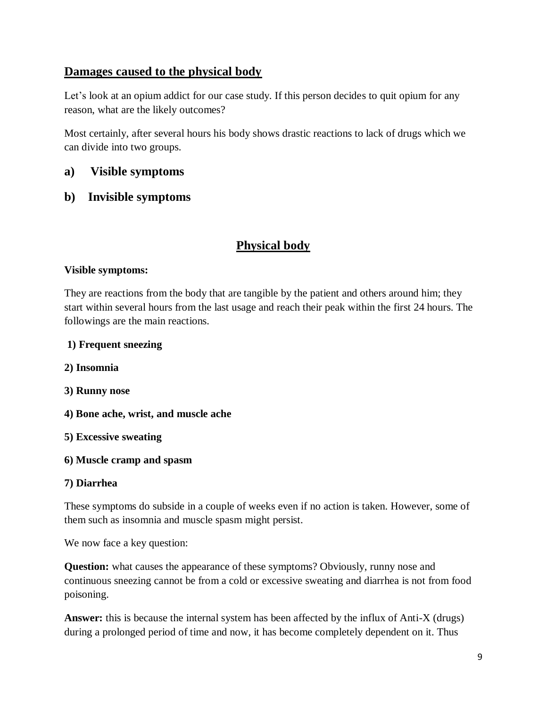# **Damages caused to the physical body**

Let's look at an opium addict for our case study. If this person decides to quit opium for any reason, what are the likely outcomes?

Most certainly, after several hours his body shows drastic reactions to lack of drugs which we can divide into two groups.

# **a) Visible symptoms**

# **b) Invisible symptoms**

# **Physical body**

## **Visible symptoms:**

They are reactions from the body that are tangible by the patient and others around him; they start within several hours from the last usage and reach their peak within the first 24 hours. The followings are the main reactions.

## **1) Frequent sneezing**

- **2) Insomnia**
- **3) Runny nose**
- **4) Bone ache, wrist, and muscle ache**
- **5) Excessive sweating**
- **6) Muscle cramp and spasm**

# **7) Diarrhea**

These symptoms do subside in a couple of weeks even if no action is taken. However, some of them such as insomnia and muscle spasm might persist.

We now face a key question:

**Question:** what causes the appearance of these symptoms? Obviously, runny nose and continuous sneezing cannot be from a cold or excessive sweating and diarrhea is not from food poisoning.

**Answer:** this is because the internal system has been affected by the influx of Anti-X (drugs) during a prolonged period of time and now, it has become completely dependent on it. Thus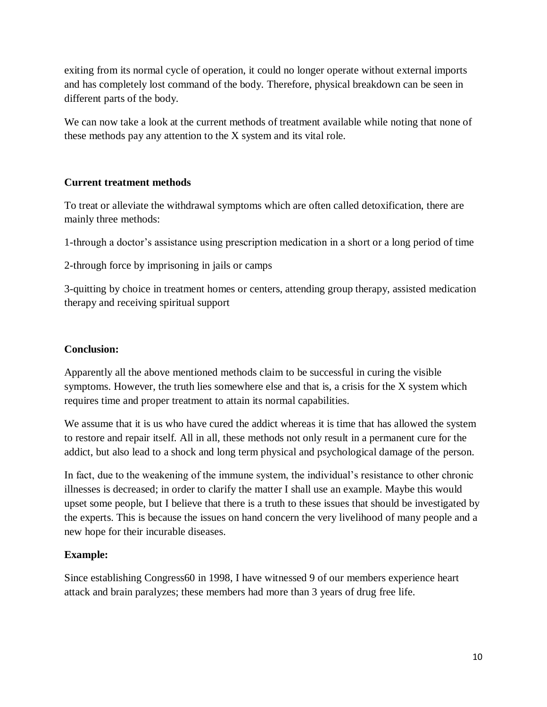exiting from its normal cycle of operation, it could no longer operate without external imports and has completely lost command of the body. Therefore, physical breakdown can be seen in different parts of the body.

We can now take a look at the current methods of treatment available while noting that none of these methods pay any attention to the X system and its vital role.

## **Current treatment methods**

To treat or alleviate the withdrawal symptoms which are often called detoxification, there are mainly three methods:

1-through a doctor's assistance using prescription medication in a short or a long period of time

2-through force by imprisoning in jails or camps

3-quitting by choice in treatment homes or centers, attending group therapy, assisted medication therapy and receiving spiritual support

# **Conclusion:**

Apparently all the above mentioned methods claim to be successful in curing the visible symptoms. However, the truth lies somewhere else and that is, a crisis for the X system which requires time and proper treatment to attain its normal capabilities.

We assume that it is us who have cured the addict whereas it is time that has allowed the system to restore and repair itself. All in all, these methods not only result in a permanent cure for the addict, but also lead to a shock and long term physical and psychological damage of the person.

In fact, due to the weakening of the immune system, the individual's resistance to other chronic illnesses is decreased; in order to clarify the matter I shall use an example. Maybe this would upset some people, but I believe that there is a truth to these issues that should be investigated by the experts. This is because the issues on hand concern the very livelihood of many people and a new hope for their incurable diseases.

# **Example:**

Since establishing Congress60 in 1998, I have witnessed 9 of our members experience heart attack and brain paralyzes; these members had more than 3 years of drug free life.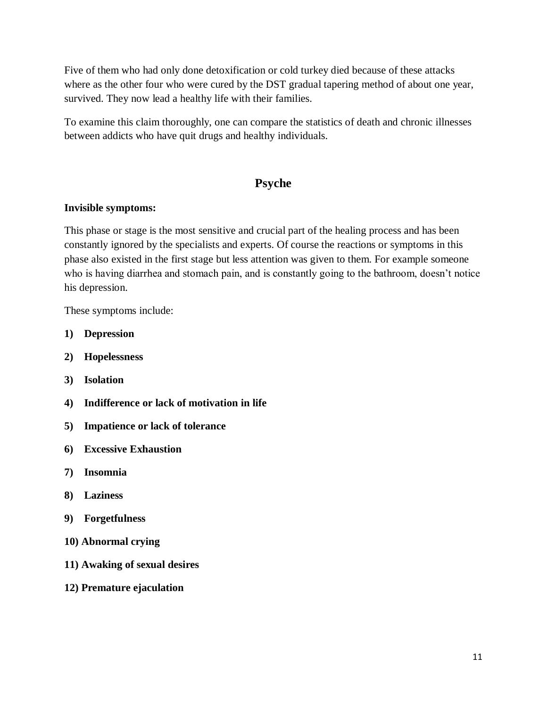Five of them who had only done detoxification or cold turkey died because of these attacks where as the other four who were cured by the DST gradual tapering method of about one year, survived. They now lead a healthy life with their families.

To examine this claim thoroughly, one can compare the statistics of death and chronic illnesses between addicts who have quit drugs and healthy individuals.

# **Psyche**

#### **Invisible symptoms:**

This phase or stage is the most sensitive and crucial part of the healing process and has been constantly ignored by the specialists and experts. Of course the reactions or symptoms in this phase also existed in the first stage but less attention was given to them. For example someone who is having diarrhea and stomach pain, and is constantly going to the bathroom, doesn't notice his depression.

These symptoms include:

- **1) Depression**
- **2) Hopelessness**
- **3) Isolation**
- **4) Indifference or lack of motivation in life**
- **5) Impatience or lack of tolerance**
- **6) Excessive Exhaustion**
- **7) Insomnia**
- **8) Laziness**
- **9) Forgetfulness**
- **10) Abnormal crying**
- **11) Awaking of sexual desires**
- **12) Premature ejaculation**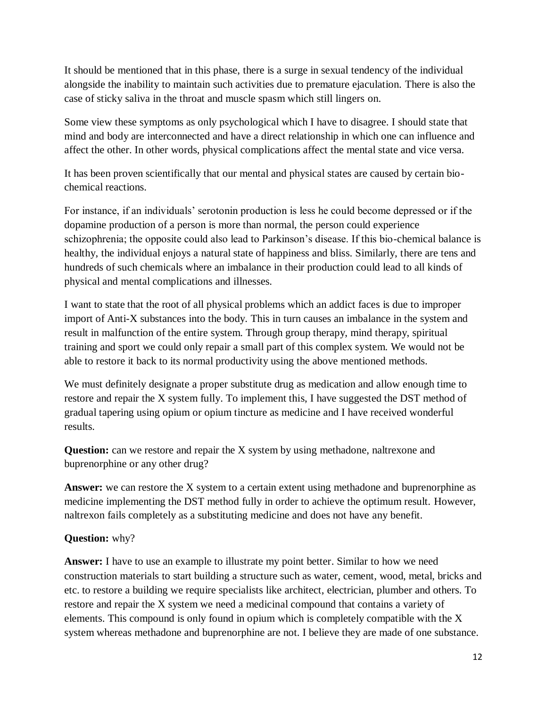It should be mentioned that in this phase, there is a surge in sexual tendency of the individual alongside the inability to maintain such activities due to premature ejaculation. There is also the case of sticky saliva in the throat and muscle spasm which still lingers on.

Some view these symptoms as only psychological which I have to disagree. I should state that mind and body are interconnected and have a direct relationship in which one can influence and affect the other. In other words, physical complications affect the mental state and vice versa.

It has been proven scientifically that our mental and physical states are caused by certain biochemical reactions.

For instance, if an individuals' serotonin production is less he could become depressed or if the dopamine production of a person is more than normal, the person could experience schizophrenia; the opposite could also lead to Parkinson's disease. If this bio-chemical balance is healthy, the individual enjoys a natural state of happiness and bliss. Similarly, there are tens and hundreds of such chemicals where an imbalance in their production could lead to all kinds of physical and mental complications and illnesses.

I want to state that the root of all physical problems which an addict faces is due to improper import of Anti-X substances into the body. This in turn causes an imbalance in the system and result in malfunction of the entire system. Through group therapy, mind therapy, spiritual training and sport we could only repair a small part of this complex system. We would not be able to restore it back to its normal productivity using the above mentioned methods.

We must definitely designate a proper substitute drug as medication and allow enough time to restore and repair the X system fully. To implement this, I have suggested the DST method of gradual tapering using opium or opium tincture as medicine and I have received wonderful results.

**Question:** can we restore and repair the X system by using methadone, naltrexone and buprenorphine or any other drug?

**Answer:** we can restore the X system to a certain extent using methadone and buprenorphine as medicine implementing the DST method fully in order to achieve the optimum result. However, naltrexon fails completely as a substituting medicine and does not have any benefit.

## **Question:** why?

**Answer:** I have to use an example to illustrate my point better. Similar to how we need construction materials to start building a structure such as water, cement, wood, metal, bricks and etc. to restore a building we require specialists like architect, electrician, plumber and others. To restore and repair the X system we need a medicinal compound that contains a variety of elements. This compound is only found in opium which is completely compatible with the X system whereas methadone and buprenorphine are not. I believe they are made of one substance.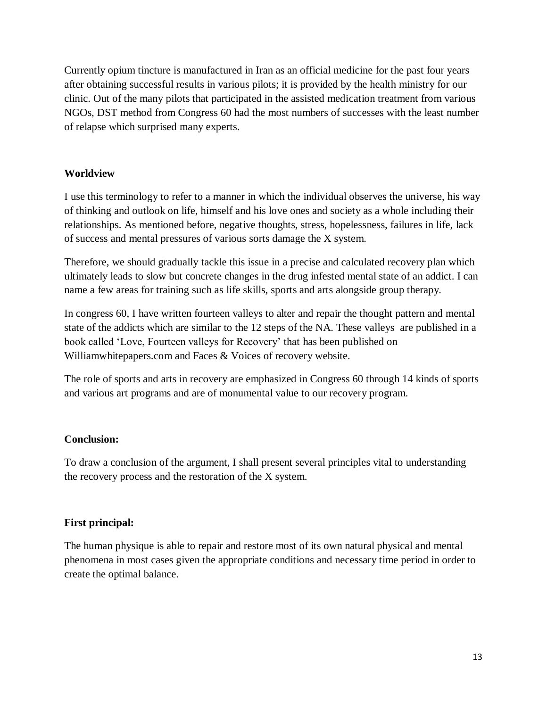Currently opium tincture is manufactured in Iran as an official medicine for the past four years after obtaining successful results in various pilots; it is provided by the health ministry for our clinic. Out of the many pilots that participated in the assisted medication treatment from various NGOs, DST method from Congress 60 had the most numbers of successes with the least number of relapse which surprised many experts.

## **Worldview**

I use this terminology to refer to a manner in which the individual observes the universe, his way of thinking and outlook on life, himself and his love ones and society as a whole including their relationships. As mentioned before, negative thoughts, stress, hopelessness, failures in life, lack of success and mental pressures of various sorts damage the X system.

Therefore, we should gradually tackle this issue in a precise and calculated recovery plan which ultimately leads to slow but concrete changes in the drug infested mental state of an addict. I can name a few areas for training such as life skills, sports and arts alongside group therapy.

In congress 60, I have written fourteen valleys to alter and repair the thought pattern and mental state of the addicts which are similar to the 12 steps of the NA. These valleys are published in a book called 'Love, Fourteen valleys for Recovery' that has been published on Williamwhitepapers.com and Faces & Voices of recovery website.

The role of sports and arts in recovery are emphasized in Congress 60 through 14 kinds of sports and various art programs and are of monumental value to our recovery program.

## **Conclusion:**

To draw a conclusion of the argument, I shall present several principles vital to understanding the recovery process and the restoration of the X system.

# **First principal:**

The human physique is able to repair and restore most of its own natural physical and mental phenomena in most cases given the appropriate conditions and necessary time period in order to create the optimal balance.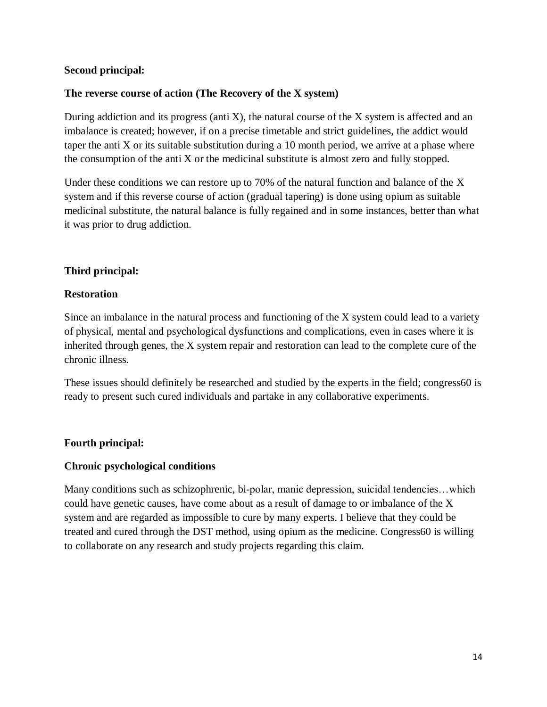#### **Second principal:**

#### **The reverse course of action (The Recovery of the X system)**

During addiction and its progress (anti X), the natural course of the  $X$  system is affected and an imbalance is created; however, if on a precise timetable and strict guidelines, the addict would taper the anti X or its suitable substitution during a 10 month period, we arrive at a phase where the consumption of the anti X or the medicinal substitute is almost zero and fully stopped.

Under these conditions we can restore up to 70% of the natural function and balance of the X system and if this reverse course of action (gradual tapering) is done using opium as suitable medicinal substitute, the natural balance is fully regained and in some instances, better than what it was prior to drug addiction.

## **Third principal:**

#### **Restoration**

Since an imbalance in the natural process and functioning of the X system could lead to a variety of physical, mental and psychological dysfunctions and complications, even in cases where it is inherited through genes, the X system repair and restoration can lead to the complete cure of the chronic illness.

These issues should definitely be researched and studied by the experts in the field; congress60 is ready to present such cured individuals and partake in any collaborative experiments.

## **Fourth principal:**

#### **Chronic psychological conditions**

Many conditions such as schizophrenic, bi-polar, manic depression, suicidal tendencies…which could have genetic causes, have come about as a result of damage to or imbalance of the X system and are regarded as impossible to cure by many experts. I believe that they could be treated and cured through the DST method, using opium as the medicine. Congress60 is willing to collaborate on any research and study projects regarding this claim.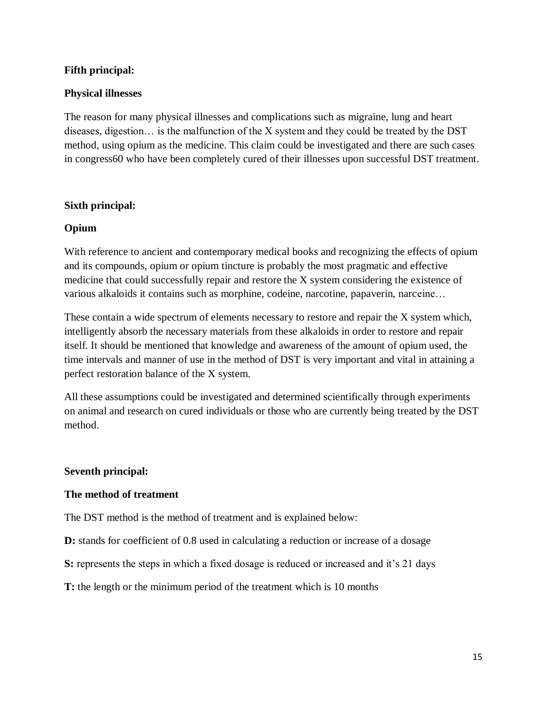#### **Fifth principal:**

#### **Physical illnesses**

The reason for many physical illnesses and complications such as migraine, lung and heart diseases, digestion… is the malfunction of the X system and they could be treated by the DST method, using opium as the medicine. This claim could be investigated and there are such cases in congress60 who have been completely cured of their illnesses upon successful DST treatment.

#### **Sixth principal:**

#### **Opium**

With reference to ancient and contemporary medical books and recognizing the effects of opium and its compounds, opium or opium tincture is probably the most pragmatic and effective medicine that could successfully repair and restore the X system considering the existence of various alkaloids it contains such as morphine, codeine, narcotine, papaverin, narceine…

These contain a wide spectrum of elements necessary to restore and repair the X system which, intelligently absorb the necessary materials from these alkaloids in order to restore and repair itself. It should be mentioned that knowledge and awareness of the amount of opium used, the time intervals and manner of use in the method of DST is very important and vital in attaining a perfect restoration balance of the X system.

All these assumptions could be investigated and determined scientifically through experiments on animal and research on cured individuals or those who are currently being treated by the DST method.

#### **Seventh principal:**

#### **The method of treatment**

The DST method is the method of treatment and is explained below:

**D:** stands for coefficient of 0.8 used in calculating a reduction or increase of a dosage

**S:** represents the steps in which a fixed dosage is reduced or increased and it's 21 days

**T:** the length or the minimum period of the treatment which is 10 months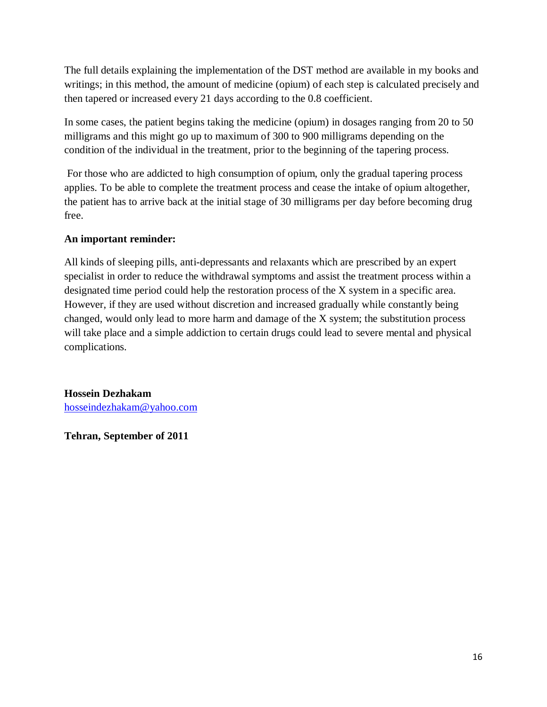The full details explaining the implementation of the DST method are available in my books and writings; in this method, the amount of medicine (opium) of each step is calculated precisely and then tapered or increased every 21 days according to the 0.8 coefficient.

In some cases, the patient begins taking the medicine (opium) in dosages ranging from 20 to 50 milligrams and this might go up to maximum of 300 to 900 milligrams depending on the condition of the individual in the treatment, prior to the beginning of the tapering process.

For those who are addicted to high consumption of opium, only the gradual tapering process applies. To be able to complete the treatment process and cease the intake of opium altogether, the patient has to arrive back at the initial stage of 30 milligrams per day before becoming drug free.

#### **An important reminder:**

All kinds of sleeping pills, anti-depressants and relaxants which are prescribed by an expert specialist in order to reduce the withdrawal symptoms and assist the treatment process within a designated time period could help the restoration process of the X system in a specific area. However, if they are used without discretion and increased gradually while constantly being changed, would only lead to more harm and damage of the X system; the substitution process will take place and a simple addiction to certain drugs could lead to severe mental and physical complications.

**Hossein Dezhakam** [hosseindezhakam@yahoo.com](mailto:hosseindezhakam@yahoo.com)

**Tehran, September of 2011**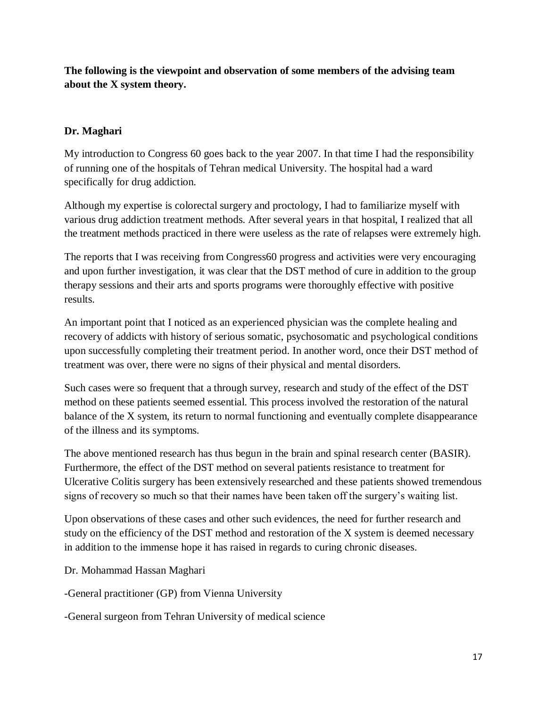**The following is the viewpoint and observation of some members of the advising team about the X system theory.**

## **Dr. Maghari**

My introduction to Congress 60 goes back to the year 2007. In that time I had the responsibility of running one of the hospitals of Tehran medical University. The hospital had a ward specifically for drug addiction.

Although my expertise is colorectal surgery and proctology, I had to familiarize myself with various drug addiction treatment methods. After several years in that hospital, I realized that all the treatment methods practiced in there were useless as the rate of relapses were extremely high.

The reports that I was receiving from Congress60 progress and activities were very encouraging and upon further investigation, it was clear that the DST method of cure in addition to the group therapy sessions and their arts and sports programs were thoroughly effective with positive results.

An important point that I noticed as an experienced physician was the complete healing and recovery of addicts with history of serious somatic, psychosomatic and psychological conditions upon successfully completing their treatment period. In another word, once their DST method of treatment was over, there were no signs of their physical and mental disorders.

Such cases were so frequent that a through survey, research and study of the effect of the DST method on these patients seemed essential. This process involved the restoration of the natural balance of the X system, its return to normal functioning and eventually complete disappearance of the illness and its symptoms.

The above mentioned research has thus begun in the brain and spinal research center (BASIR). Furthermore, the effect of the DST method on several patients resistance to treatment for Ulcerative Colitis surgery has been extensively researched and these patients showed tremendous signs of recovery so much so that their names have been taken off the surgery's waiting list.

Upon observations of these cases and other such evidences, the need for further research and study on the efficiency of the DST method and restoration of the X system is deemed necessary in addition to the immense hope it has raised in regards to curing chronic diseases.

#### Dr. Mohammad Hassan Maghari

-General practitioner (GP) from Vienna University

-General surgeon from Tehran University of medical science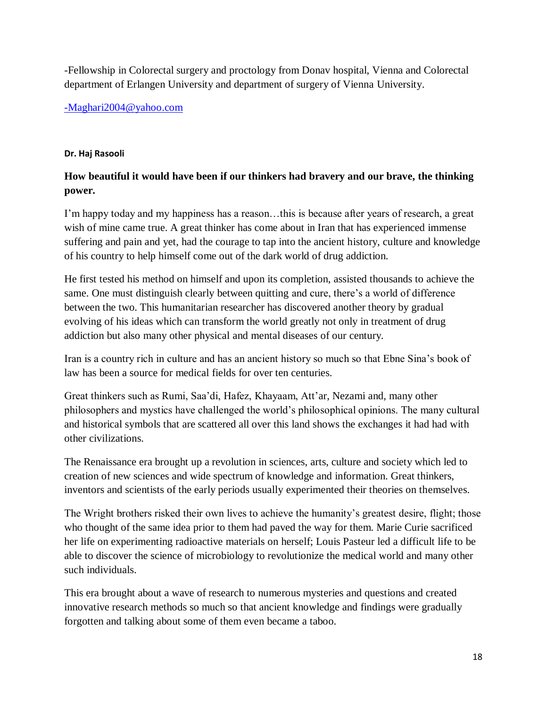-Fellowship in Colorectal surgery and proctology from Donav hospital, Vienna and Colorectal department of Erlangen University and department of surgery of Vienna University.

[-Maghari2004@yahoo.com](mailto:-Maghari2004@yahoo.com)

## **Dr. Haj Rasooli**

# **How beautiful it would have been if our thinkers had bravery and our brave, the thinking power.**

I'm happy today and my happiness has a reason…this is because after years of research, a great wish of mine came true. A great thinker has come about in Iran that has experienced immense suffering and pain and yet, had the courage to tap into the ancient history, culture and knowledge of his country to help himself come out of the dark world of drug addiction.

He first tested his method on himself and upon its completion, assisted thousands to achieve the same. One must distinguish clearly between quitting and cure, there's a world of difference between the two. This humanitarian researcher has discovered another theory by gradual evolving of his ideas which can transform the world greatly not only in treatment of drug addiction but also many other physical and mental diseases of our century.

Iran is a country rich in culture and has an ancient history so much so that Ebne Sina's book of law has been a source for medical fields for over ten centuries.

Great thinkers such as Rumi, Saa'di, Hafez, Khayaam, Att'ar, Nezami and, many other philosophers and mystics have challenged the world's philosophical opinions. The many cultural and historical symbols that are scattered all over this land shows the exchanges it had had with other civilizations.

The Renaissance era brought up a revolution in sciences, arts, culture and society which led to creation of new sciences and wide spectrum of knowledge and information. Great thinkers, inventors and scientists of the early periods usually experimented their theories on themselves.

The Wright brothers risked their own lives to achieve the humanity's greatest desire, flight; those who thought of the same idea prior to them had paved the way for them. Marie Curie sacrificed her life on experimenting radioactive materials on herself; Louis Pasteur led a difficult life to be able to discover the science of microbiology to revolutionize the medical world and many other such individuals.

This era brought about a wave of research to numerous mysteries and questions and created innovative research methods so much so that ancient knowledge and findings were gradually forgotten and talking about some of them even became a taboo.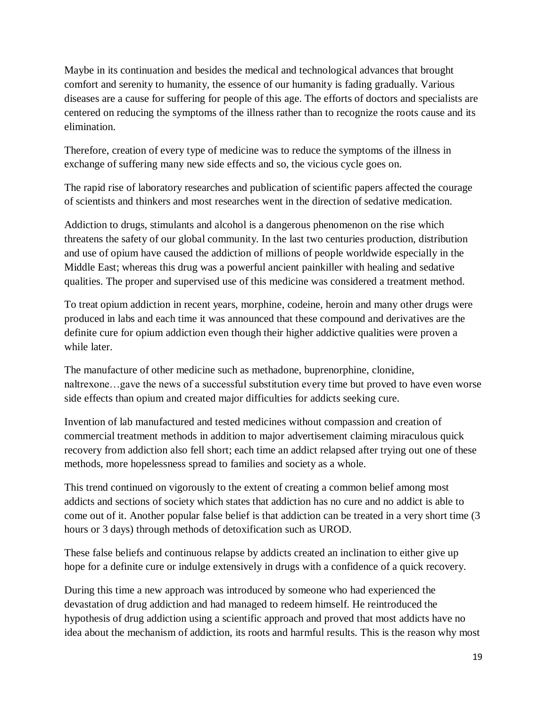Maybe in its continuation and besides the medical and technological advances that brought comfort and serenity to humanity, the essence of our humanity is fading gradually. Various diseases are a cause for suffering for people of this age. The efforts of doctors and specialists are centered on reducing the symptoms of the illness rather than to recognize the roots cause and its elimination.

Therefore, creation of every type of medicine was to reduce the symptoms of the illness in exchange of suffering many new side effects and so, the vicious cycle goes on.

The rapid rise of laboratory researches and publication of scientific papers affected the courage of scientists and thinkers and most researches went in the direction of sedative medication.

Addiction to drugs, stimulants and alcohol is a dangerous phenomenon on the rise which threatens the safety of our global community. In the last two centuries production, distribution and use of opium have caused the addiction of millions of people worldwide especially in the Middle East; whereas this drug was a powerful ancient painkiller with healing and sedative qualities. The proper and supervised use of this medicine was considered a treatment method.

To treat opium addiction in recent years, morphine, codeine, heroin and many other drugs were produced in labs and each time it was announced that these compound and derivatives are the definite cure for opium addiction even though their higher addictive qualities were proven a while later.

The manufacture of other medicine such as methadone, buprenorphine, clonidine, naltrexone…gave the news of a successful substitution every time but proved to have even worse side effects than opium and created major difficulties for addicts seeking cure.

Invention of lab manufactured and tested medicines without compassion and creation of commercial treatment methods in addition to major advertisement claiming miraculous quick recovery from addiction also fell short; each time an addict relapsed after trying out one of these methods, more hopelessness spread to families and society as a whole.

This trend continued on vigorously to the extent of creating a common belief among most addicts and sections of society which states that addiction has no cure and no addict is able to come out of it. Another popular false belief is that addiction can be treated in a very short time (3 hours or 3 days) through methods of detoxification such as UROD.

These false beliefs and continuous relapse by addicts created an inclination to either give up hope for a definite cure or indulge extensively in drugs with a confidence of a quick recovery.

During this time a new approach was introduced by someone who had experienced the devastation of drug addiction and had managed to redeem himself. He reintroduced the hypothesis of drug addiction using a scientific approach and proved that most addicts have no idea about the mechanism of addiction, its roots and harmful results. This is the reason why most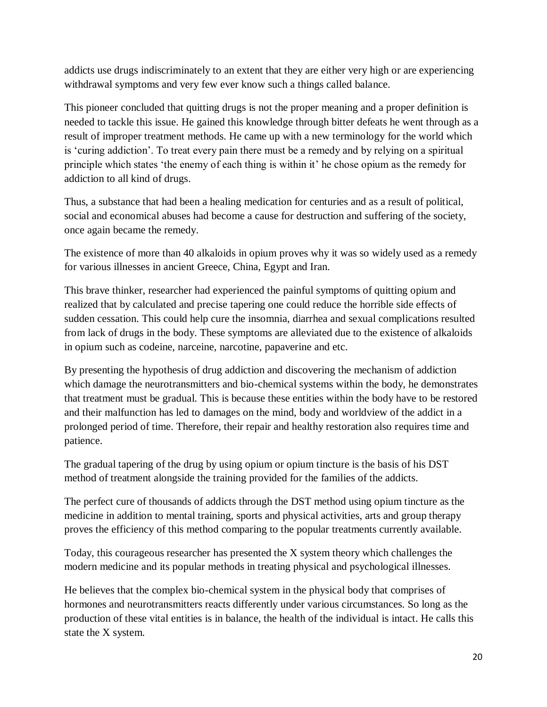addicts use drugs indiscriminately to an extent that they are either very high or are experiencing withdrawal symptoms and very few ever know such a things called balance.

This pioneer concluded that quitting drugs is not the proper meaning and a proper definition is needed to tackle this issue. He gained this knowledge through bitter defeats he went through as a result of improper treatment methods. He came up with a new terminology for the world which is 'curing addiction'. To treat every pain there must be a remedy and by relying on a spiritual principle which states 'the enemy of each thing is within it' he chose opium as the remedy for addiction to all kind of drugs.

Thus, a substance that had been a healing medication for centuries and as a result of political, social and economical abuses had become a cause for destruction and suffering of the society, once again became the remedy.

The existence of more than 40 alkaloids in opium proves why it was so widely used as a remedy for various illnesses in ancient Greece, China, Egypt and Iran.

This brave thinker, researcher had experienced the painful symptoms of quitting opium and realized that by calculated and precise tapering one could reduce the horrible side effects of sudden cessation. This could help cure the insomnia, diarrhea and sexual complications resulted from lack of drugs in the body. These symptoms are alleviated due to the existence of alkaloids in opium such as codeine, narceine, narcotine, papaverine and etc.

By presenting the hypothesis of drug addiction and discovering the mechanism of addiction which damage the neurotransmitters and bio-chemical systems within the body, he demonstrates that treatment must be gradual. This is because these entities within the body have to be restored and their malfunction has led to damages on the mind, body and worldview of the addict in a prolonged period of time. Therefore, their repair and healthy restoration also requires time and patience.

The gradual tapering of the drug by using opium or opium tincture is the basis of his DST method of treatment alongside the training provided for the families of the addicts.

The perfect cure of thousands of addicts through the DST method using opium tincture as the medicine in addition to mental training, sports and physical activities, arts and group therapy proves the efficiency of this method comparing to the popular treatments currently available.

Today, this courageous researcher has presented the X system theory which challenges the modern medicine and its popular methods in treating physical and psychological illnesses.

He believes that the complex bio-chemical system in the physical body that comprises of hormones and neurotransmitters reacts differently under various circumstances. So long as the production of these vital entities is in balance, the health of the individual is intact. He calls this state the X system.